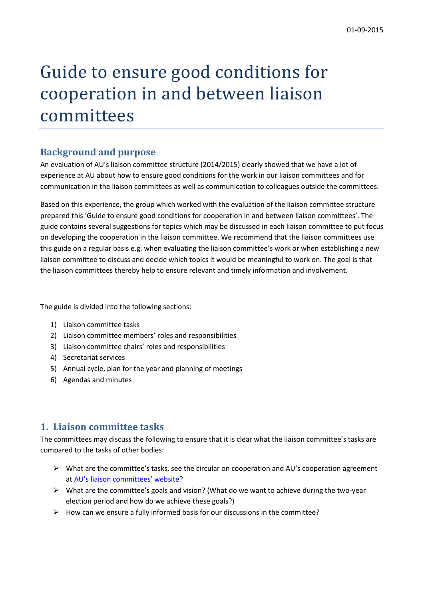# Guide to ensure good conditions for cooperation in and between liaison committees

### **Background and purpose**

An evaluation of AU's liaison committee structure (2014/2015) clearly showed that we have a lot of experience at AU about how to ensure good conditions for the work in our liaison committees and for communication in the liaison committees as well as communication to colleagues outside the committees.

Based on this experience, the group which worked with the evaluation of the liaison committee structure prepared this 'Guide to ensure good conditions for cooperation in and between liaison committees'. The guide contains several suggestions for topics which may be discussed in each liaison committee to put focus on developing the cooperation in the liaison committee. We recommend that the liaison committees use this guide on a regular basis e.g. when evaluating the liaison committee's work or when establishing a new liaison committee to discuss and decide which topics it would be meaningful to work on. The goal is that the liaison committees thereby help to ensure relevant and timely information and involvement.

The guide is divided into the following sections:

- 1) Liaison committee tasks
- 2) Liaison committee members' roles and responsibilities
- 3) Liaison committee chairs' roles and responsibilities
- 4) Secretariat services
- 5) Annual cycle, plan for the year and planning of meetings
- 6) Agendas and minutes

#### **1. Liaison committee tasks**

The committees may discuss the following to ensure that it is clear what the liaison committee's tasks are compared to the tasks of other bodies:

- $\triangleright$  What are the committee's tasks, see the circular on cooperation and AU's cooperation agreement at [AU's liaison committees' website?](http://medarbejdere.au.dk/administration/hr/samarbejdsudvalg/)
- $\triangleright$  What are the committee's goals and vision? (What do we want to achieve during the two-year election period and how do we achieve these goals?)
- $\triangleright$  How can we ensure a fully informed basis for our discussions in the committee?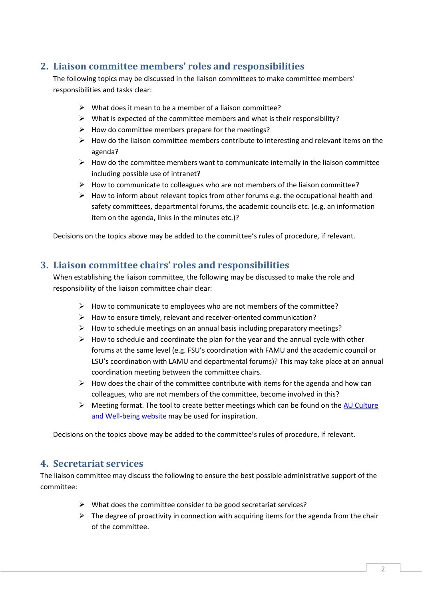## **2. Liaison committee members' roles and responsibilities**

The following topics may be discussed in the liaison committees to make committee members' responsibilities and tasks clear:

- $\triangleright$  What does it mean to be a member of a liaison committee?
- $\triangleright$  What is expected of the committee members and what is their responsibility?
- $\triangleright$  How do committee members prepare for the meetings?
- $\triangleright$  How do the liaison committee members contribute to interesting and relevant items on the agenda?
- $\triangleright$  How do the committee members want to communicate internally in the liaison committee including possible use of intranet?
- $\triangleright$  How to communicate to colleagues who are not members of the liaison committee?
- $\triangleright$  How to inform about relevant topics from other forums e.g. the occupational health and safety committees, departmental forums, the academic councils etc. (e.g. an information item on the agenda, links in the minutes etc.)?

Decisions on the topics above may be added to the committee's rules of procedure, if relevant.

#### **3. Liaison committee chairs' roles and responsibilities**

When establishing the liaison committee, the following may be discussed to make the role and responsibility of the liaison committee chair clear:

- $\triangleright$  How to communicate to employees who are not members of the committee?
- $\triangleright$  How to ensure timely, relevant and receiver-oriented communication?
- $\triangleright$  How to schedule meetings on an annual basis including preparatory meetings?
- $\triangleright$  How to schedule and coordinate the plan for the year and the annual cycle with other forums at the same level (e.g. FSU's coordination with FAMU and the academic council or LSU's coordination with LAMU and departmental forums)? This may take place at an annual coordination meeting between the committee chairs.
- $\triangleright$  How does the chair of the committee contribute with items for the agenda and how can colleagues, who are not members of the committee, become involved in this?
- $\triangleright$  Meeting format. The tool to create better meetings which can be found on the AU Culture [and Well-being website](http://medarbejdere.au.dk/administration/hr/arbejdsmiljoe/au-anbefalinger-og-nyheder/au-kultur-og-trivsel/) may be used for inspiration.

Decisions on the topics above may be added to the committee's rules of procedure, if relevant.

#### **4. Secretariat services**

The liaison committee may discuss the following to ensure the best possible administrative support of the committee:

- $\triangleright$  What does the committee consider to be good secretariat services?
- $\triangleright$  The degree of proactivity in connection with acquiring items for the agenda from the chair of the committee.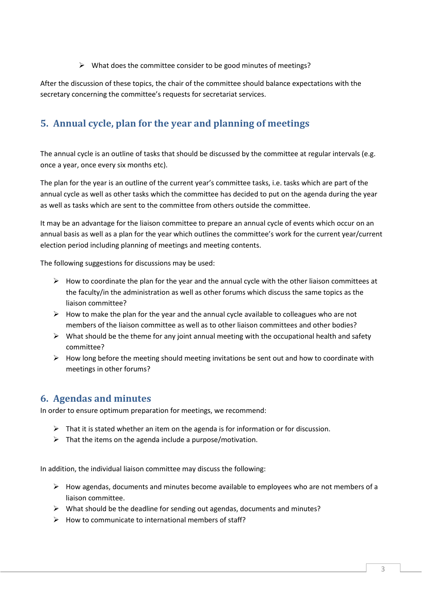$\triangleright$  What does the committee consider to be good minutes of meetings?

After the discussion of these topics, the chair of the committee should balance expectations with the secretary concerning the committee's requests for secretariat services.

# **5. Annual cycle, plan for the year and planning of meetings**

The annual cycle is an outline of tasks that should be discussed by the committee at regular intervals (e.g. once a year, once every six months etc).

The plan for the year is an outline of the current year's committee tasks, i.e. tasks which are part of the annual cycle as well as other tasks which the committee has decided to put on the agenda during the year as well as tasks which are sent to the committee from others outside the committee.

It may be an advantage for the liaison committee to prepare an annual cycle of events which occur on an annual basis as well as a plan for the year which outlines the committee's work for the current year/current election period including planning of meetings and meeting contents.

The following suggestions for discussions may be used:

- $\triangleright$  How to coordinate the plan for the year and the annual cycle with the other liaison committees at the faculty/in the administration as well as other forums which discuss the same topics as the liaison committee?
- $\triangleright$  How to make the plan for the year and the annual cycle available to colleagues who are not members of the liaison committee as well as to other liaison committees and other bodies?
- $\triangleright$  What should be the theme for any joint annual meeting with the occupational health and safety committee?
- $\triangleright$  How long before the meeting should meeting invitations be sent out and how to coordinate with meetings in other forums?

#### **6. Agendas and minutes**

In order to ensure optimum preparation for meetings, we recommend:

- $\triangleright$  That it is stated whether an item on the agenda is for information or for discussion.
- $\triangleright$  That the items on the agenda include a purpose/motivation.

In addition, the individual liaison committee may discuss the following:

- $\triangleright$  How agendas, documents and minutes become available to employees who are not members of a liaison committee.
- $\triangleright$  What should be the deadline for sending out agendas, documents and minutes?
- $\triangleright$  How to communicate to international members of staff?